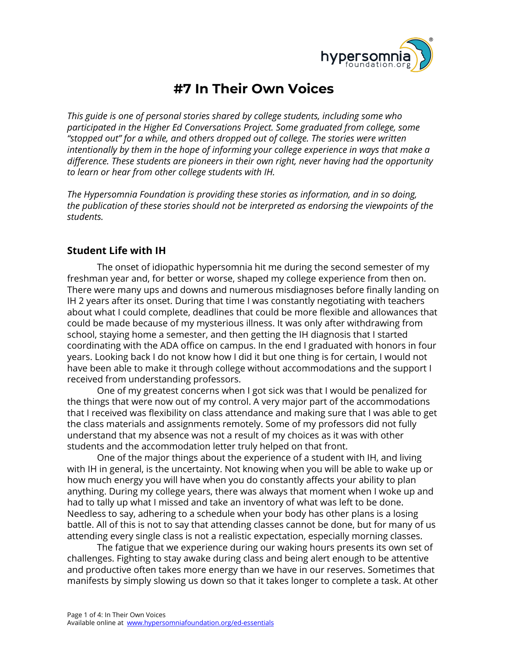

# **#7 In Their Own Voices**

*This guide is one of personal stories shared by college students, including some who participated in the Higher Ed Conversations Project. Some graduated from college, some "stopped out" for a while, and others dropped out of college. The stories were written intentionally by them in the hope of informing your college experience in ways that make a difference. These students are pioneers in their own right, never having had the opportunity to learn or hear from other college students with IH.*

*The Hypersomnia Foundation is providing these stories as information, and in so doing, the publication of these stories should not be interpreted as endorsing the viewpoints of the students.*

### **Student Life with IH**

The onset of idiopathic hypersomnia hit me during the second semester of my freshman year and, for better or worse, shaped my college experience from then on. There were many ups and downs and numerous misdiagnoses before finally landing on IH 2 years after its onset. During that time I was constantly negotiating with teachers about what I could complete, deadlines that could be more flexible and allowances that could be made because of my mysterious illness. It was only after withdrawing from school, staying home a semester, and then getting the IH diagnosis that I started coordinating with the ADA office on campus. In the end I graduated with honors in four years. Looking back I do not know how I did it but one thing is for certain, I would not have been able to make it through college without accommodations and the support I received from understanding professors.

One of my greatest concerns when I got sick was that I would be penalized for the things that were now out of my control. A very major part of the accommodations that I received was flexibility on class attendance and making sure that I was able to get the class materials and assignments remotely. Some of my professors did not fully understand that my absence was not a result of my choices as it was with other students and the accommodation letter truly helped on that front.

One of the major things about the experience of a student with IH, and living with IH in general, is the uncertainty. Not knowing when you will be able to wake up or how much energy you will have when you do constantly affects your ability to plan anything. During my college years, there was always that moment when I woke up and had to tally up what I missed and take an inventory of what was left to be done. Needless to say, adhering to a schedule when your body has other plans is a losing battle. All of this is not to say that attending classes cannot be done, but for many of us attending every single class is not a realistic expectation, especially morning classes.

The fatigue that we experience during our waking hours presents its own set of challenges. Fighting to stay awake during class and being alert enough to be attentive and productive often takes more energy than we have in our reserves. Sometimes that manifests by simply slowing us down so that it takes longer to complete a task. At other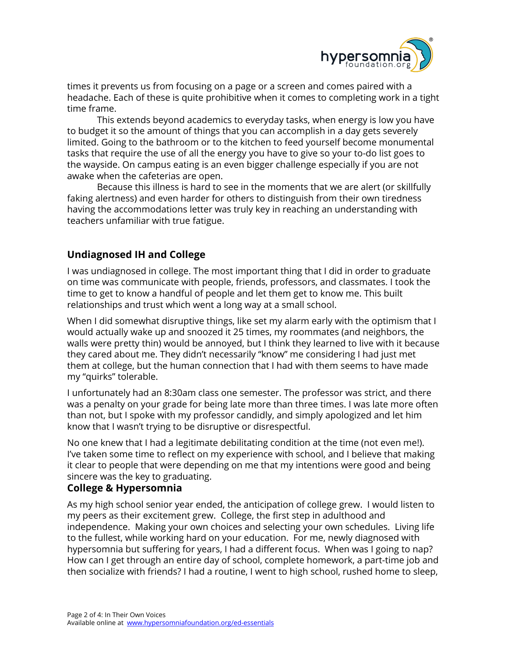

times it prevents us from focusing on a page or a screen and comes paired with a headache. Each of these is quite prohibitive when it comes to completing work in a tight time frame.

This extends beyond academics to everyday tasks, when energy is low you have to budget it so the amount of things that you can accomplish in a day gets severely limited. Going to the bathroom or to the kitchen to feed yourself become monumental tasks that require the use of all the energy you have to give so your to-do list goes to the wayside. On campus eating is an even bigger challenge especially if you are not awake when the cafeterias are open.

Because this illness is hard to see in the moments that we are alert (or skillfully faking alertness) and even harder for others to distinguish from their own tiredness having the accommodations letter was truly key in reaching an understanding with teachers unfamiliar with true fatigue.

# **Undiagnosed IH and College**

I was undiagnosed in college. The most important thing that I did in order to graduate on time was communicate with people, friends, professors, and classmates. I took the time to get to know a handful of people and let them get to know me. This built relationships and trust which went a long way at a small school.

When I did somewhat disruptive things, like set my alarm early with the optimism that I would actually wake up and snoozed it 25 times, my roommates (and neighbors, the walls were pretty thin) would be annoyed, but I think they learned to live with it because they cared about me. They didn't necessarily "know" me considering I had just met them at college, but the human connection that I had with them seems to have made my "quirks" tolerable.

I unfortunately had an 8:30am class one semester. The professor was strict, and there was a penalty on your grade for being late more than three times. I was late more often than not, but I spoke with my professor candidly, and simply apologized and let him know that I wasn't trying to be disruptive or disrespectful.

No one knew that I had a legitimate debilitating condition at the time (not even me!). I've taken some time to reflect on my experience with school, and I believe that making it clear to people that were depending on me that my intentions were good and being sincere was the key to graduating.

# **College & Hypersomnia**

As my high school senior year ended, the anticipation of college grew. I would listen to my peers as their excitement grew. College, the first step in adulthood and independence. Making your own choices and selecting your own schedules. Living life to the fullest, while working hard on your education. For me, newly diagnosed with hypersomnia but suffering for years, I had a different focus. When was I going to nap? How can I get through an entire day of school, complete homework, a part-time job and then socialize with friends? I had a routine, I went to high school, rushed home to sleep,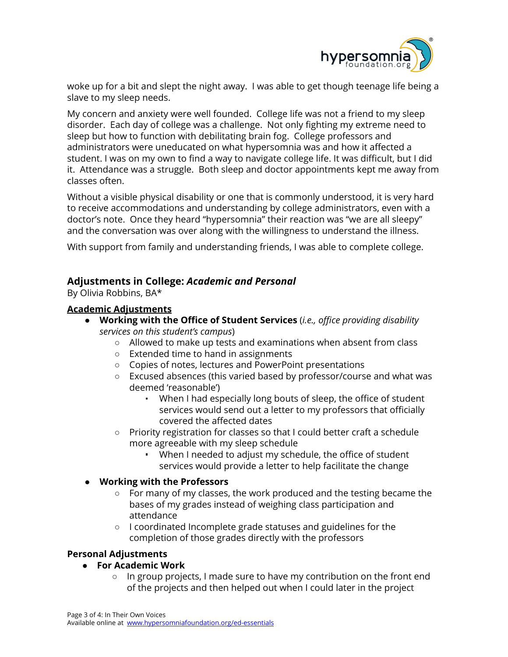

woke up for a bit and slept the night away. I was able to get though teenage life being a slave to my sleep needs.

My concern and anxiety were well founded. College life was not a friend to my sleep disorder. Each day of college was a challenge. Not only fighting my extreme need to sleep but how to function with debilitating brain fog. College professors and administrators were uneducated on what hypersomnia was and how it affected a student. I was on my own to find a way to navigate college life. It was difficult, but I did it. Attendance was a struggle. Both sleep and doctor appointments kept me away from classes often.

Without a visible physical disability or one that is commonly understood, it is very hard to receive accommodations and understanding by college administrators, even with a doctor's note. Once they heard "hypersomnia" their reaction was "we are all sleepy" and the conversation was over along with the willingness to understand the illness.

With support from family and understanding friends, I was able to complete college.

# **Adjustments in College:** *Academic and Personal*

By Olivia Robbins, BA\*

### **Academic Adjustments**

- **Working with the Office of Student Services** (*i.e., office providing disability services on this student's campus*)
	- **○** Allowed to make up tests and examinations when absent from class
	- **○** Extended time to hand in assignments
	- **○** Copies of notes, lectures and PowerPoint presentations
	- **○** Excused absences (this varied based by professor/course and what was deemed 'reasonable')
		- When I had especially long bouts of sleep, the office of student services would send out a letter to my professors that officially covered the affected dates
	- **○** Priority registration for classes so that I could better craft a schedule more agreeable with my sleep schedule
		- When I needed to adjust my schedule, the office of student services would provide a letter to help facilitate the change

#### **● Working with the Professors**

- **○** For many of my classes, the work produced and the testing became the bases of my grades instead of weighing class participation and attendance
- I coordinated Incomplete grade statuses and guidelines for the completion of those grades directly with the professors

# **Personal Adjustments**

# **● For Academic Work**

**○** In group projects, I made sure to have my contribution on the front end of the projects and then helped out when I could later in the project